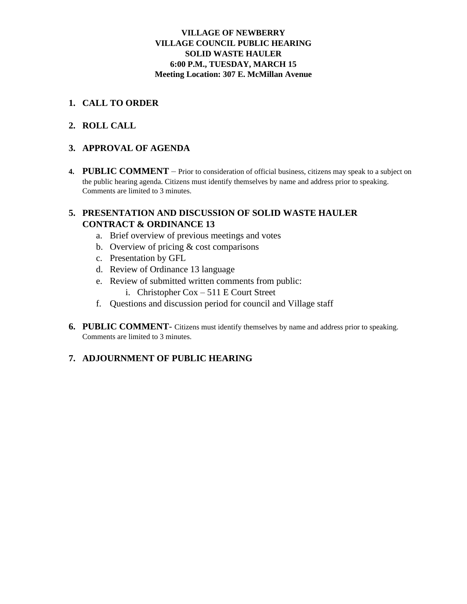#### **VILLAGE OF NEWBERRY VILLAGE COUNCIL PUBLIC HEARING SOLID WASTE HAULER 6:00 P.M., TUESDAY, MARCH 15 Meeting Location: 307 E. McMillan Avenue**

## **1. CALL TO ORDER**

## **2. ROLL CALL**

#### **3. APPROVAL OF AGENDA**

**4. PUBLIC COMMENT** – Prior to consideration of official business, citizens may speak to a subject on the public hearing agenda. Citizens must identify themselves by name and address prior to speaking. Comments are limited to 3 minutes.

## **5. PRESENTATION AND DISCUSSION OF SOLID WASTE HAULER CONTRACT & ORDINANCE 13**

- a. Brief overview of previous meetings and votes
- b. Overview of pricing & cost comparisons
- c. Presentation by GFL
- d. Review of Ordinance 13 language
- e. Review of submitted written comments from public:
	- i. Christopher Cox 511 E Court Street
- f. Questions and discussion period for council and Village staff
- **6. PUBLIC COMMENT** Citizens must identify themselves by name and address prior to speaking. Comments are limited to 3 minutes.

## **7. ADJOURNMENT OF PUBLIC HEARING**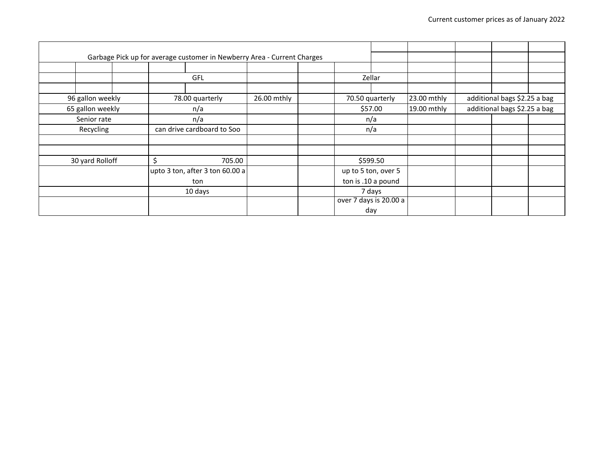|           | Garbage Pick up for average customer in Newberry Area - Current Charges |                            |                                 |  |  |                 |                        |             |                              |                              |  |
|-----------|-------------------------------------------------------------------------|----------------------------|---------------------------------|--|--|-----------------|------------------------|-------------|------------------------------|------------------------------|--|
|           |                                                                         |                            |                                 |  |  |                 |                        |             |                              |                              |  |
|           |                                                                         | <b>GFL</b>                 |                                 |  |  | Zellar          |                        |             |                              |                              |  |
|           |                                                                         |                            |                                 |  |  |                 |                        |             |                              |                              |  |
|           | 96 gallon weekly                                                        |                            | 78.00 quarterly                 |  |  | 70.50 quarterly |                        | 23.00 mthly | additional bags \$2.25 a bag |                              |  |
|           | 65 gallon weekly                                                        |                            | n/a                             |  |  | \$57.00         |                        | 19.00 mthly |                              | additional bags \$2.25 a bag |  |
|           | Senior rate                                                             |                            | n/a                             |  |  | n/a             |                        |             |                              |                              |  |
| Recycling |                                                                         | can drive cardboard to Soo |                                 |  |  |                 | n/a                    |             |                              |                              |  |
|           |                                                                         |                            |                                 |  |  |                 |                        |             |                              |                              |  |
|           |                                                                         |                            |                                 |  |  |                 |                        |             |                              |                              |  |
|           | 30 yard Rolloff                                                         |                            | Ś<br>705.00                     |  |  | \$599.50        |                        |             |                              |                              |  |
|           |                                                                         |                            | upto 3 ton, after 3 ton 60.00 a |  |  |                 | up to 5 ton, over 5    |             |                              |                              |  |
|           |                                                                         |                            | ton                             |  |  |                 | ton is .10 a pound     |             |                              |                              |  |
|           |                                                                         |                            | 10 days                         |  |  |                 | 7 days                 |             |                              |                              |  |
|           |                                                                         |                            |                                 |  |  |                 | over 7 days is 20.00 a |             |                              |                              |  |
|           |                                                                         |                            |                                 |  |  |                 | day                    |             |                              |                              |  |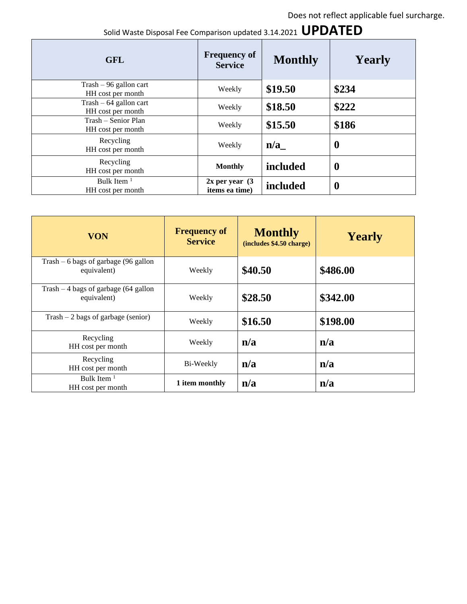# Solid Waste Disposal Fee Comparison updated 3.14.2021 **UPDATED**

| <b>GFL</b>                                                   | <b>Frequency of</b><br><b>Service</b> | <b>Monthly</b> | <b>Yearly</b>    |  |
|--------------------------------------------------------------|---------------------------------------|----------------|------------------|--|
| $\text{Trash} - 96 \text{ gallon cart}$<br>HH cost per month | Weekly                                | \$19.50        | \$234            |  |
| $\text{Trash} - 64$ gallon cart<br>HH cost per month         | Weekly                                | \$18.50        | \$222            |  |
| Trash – Senior Plan<br>HH cost per month                     | Weekly                                | \$15.50        | \$186            |  |
| Recycling<br>HH cost per month                               | Weekly                                | n/a            | $\boldsymbol{0}$ |  |
| Recycling<br>HH cost per month                               | <b>Monthly</b>                        | included       | $\boldsymbol{0}$ |  |
| Bulk Item $1$<br>HH cost per month                           | $2x$ per year $(3)$<br>items ea time) | included       | $\boldsymbol{0}$ |  |

| <b>VON</b>                                           | <b>Frequency of</b><br><b>Service</b> | <b>Monthly</b><br>(includes \$4.50 charge) | <b>Yearly</b> |  |
|------------------------------------------------------|---------------------------------------|--------------------------------------------|---------------|--|
| Trash $-6$ bags of garbage (96 gallon<br>equivalent) | Weekly                                | \$40.50                                    | \$486.00      |  |
| Trash $-4$ bags of garbage (64 gallon<br>equivalent) | Weekly                                | \$28.50                                    | \$342.00      |  |
| $\text{Trash} - 2 \text{ bags of garbage (senior)}$  | Weekly                                | \$16.50                                    | \$198.00      |  |
| Recycling<br>HH cost per month                       | Weekly                                | n/a                                        | n/a           |  |
| Recycling<br>HH cost per month                       | Bi-Weekly                             | n/a                                        | n/a           |  |
| Bulk Item $1$<br>HH cost per month                   | 1 item monthly                        | n/a                                        | n/a           |  |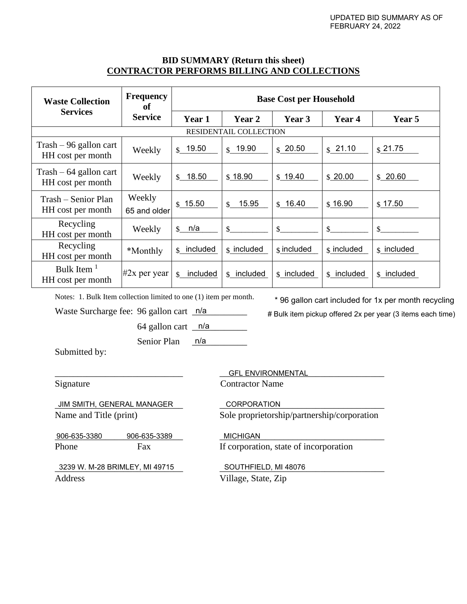#### **BID SUMMARY (Return this sheet) CONTRACTOR PERFORMS BILLING AND COLLECTIONS**

| <b>Waste Collection</b>                                      | <b>Frequency</b><br>of | <b>Base Cost per Household</b> |                        |                        |                        |                        |  |  |  |
|--------------------------------------------------------------|------------------------|--------------------------------|------------------------|------------------------|------------------------|------------------------|--|--|--|
| <b>Services</b>                                              | <b>Service</b>         | Year 1                         | Year 2                 | Year 3                 | Year 4                 | Year 5                 |  |  |  |
|                                                              |                        |                                | RESIDENTAIL COLLECTION |                        |                        |                        |  |  |  |
| $\text{Trash} - 96 \text{ gallon cart}$<br>HH cost per month | Weekly                 | $\frac{1}{2}$ 19.50            | $\frac{1}{2}$ 19.90    | \$20.50                | \$21.10                | \$21.75                |  |  |  |
| $\text{Trash} - 64$ gallon cart<br>HH cost per month         | Weekly                 |                                | \$18.90                | \$19.40                | \$20.00                | \$20.60                |  |  |  |
| Trash – Senior Plan<br>HH cost per month                     | Weekly<br>65 and older |                                | 15.95<br>$\mathbb{S}$  | \$16.40                | \$16.90                | \$17.50                |  |  |  |
| Recycling<br>Weekly<br>HH cost per month                     |                        | n/a<br>\$                      | \$                     | \$                     | \$                     | \$                     |  |  |  |
| Recycling<br>*Monthly<br>HH cost per month                   |                        | $\text{S}$ included            | $\frac{1}{3}$ included | $\frac{1}{3}$ included | $\frac{1}{3}$ included | $\frac{1}{3}$ included |  |  |  |
| Bulk Item $1$<br>$#2x$ per year<br>HH cost per month         |                        | included<br>\$.                | \$ included            | \$ included            | \$ included            | included<br>\$         |  |  |  |

Notes: 1. Bulk Item collection limited to one (1) item per month.

Waste Surcharge fee: 96 gallon cart n/a

\* 96 gallon cart included for 1x per month recycling # Bulk item pickup offered 2x per year (3 items each time)

64 gallon cart  $\sqrt{\frac{n}{a}}$ 

Senior Plan n/a

Submitted by:

906-635-3389 906-635-3380 906-635-3389

\_\_\_\_\_\_\_\_\_\_\_\_\_\_\_\_\_\_\_\_\_\_\_\_\_\_\_\_ \_\_\_\_\_\_\_\_\_\_\_\_\_\_\_\_\_\_\_\_\_\_\_\_\_\_\_\_\_\_\_\_\_\_\_\_ 3239 W. M-28 BRIMLEY, MI 49715 SOUTHFIELD, MI 48076 Address Village, State, Zip

\_\_\_\_\_\_\_\_\_\_\_\_\_\_\_\_\_\_\_\_\_\_\_\_\_\_\_\_ \_\_\_\_\_\_\_\_\_\_\_\_\_\_\_\_\_\_\_\_\_\_\_\_\_\_\_\_\_\_\_\_\_\_\_\_ GFL ENVIRONMENTAL Signature Contractor Name

\_\_\_\_\_\_\_\_\_\_\_\_\_\_\_\_\_\_\_\_\_\_\_\_\_\_\_\_ \_\_\_\_\_\_\_\_\_\_\_\_\_\_\_\_\_\_\_\_\_\_\_\_\_\_\_\_\_\_\_\_\_\_\_\_ JIM SMITH, GENERAL MANAGER Name and Title (print) Sole proprietorship/partnership/corporation CORPORATION

Phone Fax If corporation, state of incorporation MICHIGAN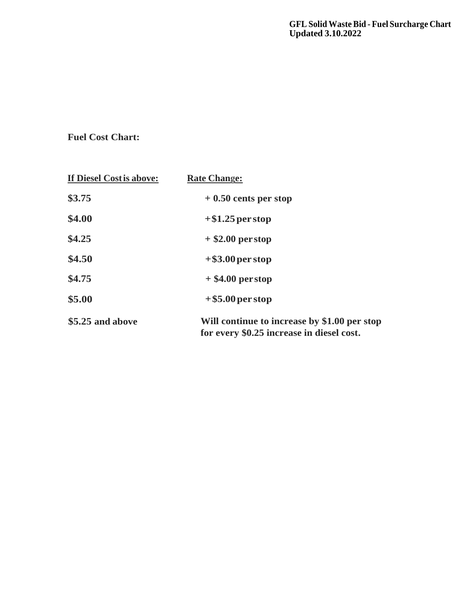**GFL Solid Waste Bid - Fuel Surcharge Chart Updated 3.10.2022**

**Fuel Cost Chart:**

| If Diesel Costis above: | <b>Rate Change:</b>                                                                       |
|-------------------------|-------------------------------------------------------------------------------------------|
| \$3.75                  | $+0.50$ cents per stop                                                                    |
| \$4.00                  | $+$ \$1.25 per stop                                                                       |
| \$4.25                  | $+$ \$2.00 perstop                                                                        |
| \$4.50                  | $+$ \$3.00 per stop                                                                       |
| \$4.75                  | $+$ \$4.00 perstop                                                                        |
| \$5.00                  | $+$ \$5.00 per stop                                                                       |
| \$5.25 and above        | Will continue to increase by \$1.00 per stop<br>for every \$0.25 increase in diesel cost. |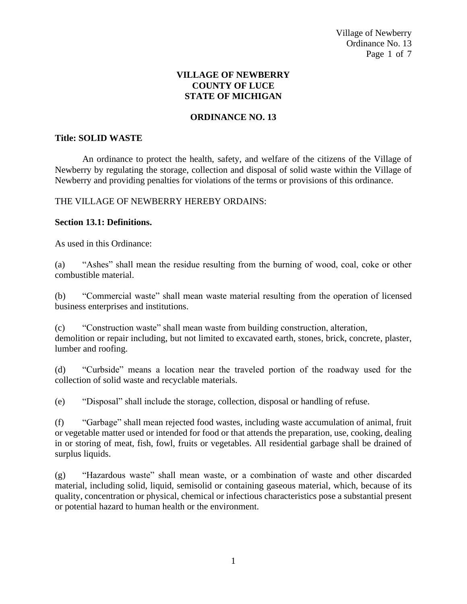Village of Newberry Ordinance No. 13 Page 1 of 7

#### **VILLAGE OF NEWBERRY COUNTY OF LUCE STATE OF MICHIGAN**

## **ORDINANCE NO. 13**

#### **Title: SOLID WASTE**

An ordinance to protect the health, safety, and welfare of the citizens of the Village of Newberry by regulating the storage, collection and disposal of solid waste within the Village of Newberry and providing penalties for violations of the terms or provisions of this ordinance.

#### THE VILLAGE OF NEWBERRY HEREBY ORDAINS:

#### **Section 13.1: Definitions.**

As used in this Ordinance:

(a) "Ashes" shall mean the residue resulting from the burning of wood, coal, coke or other combustible material.

(b) "Commercial waste" shall mean waste material resulting from the operation of licensed business enterprises and institutions.

(c) "Construction waste" shall mean waste from building construction, alteration, demolition or repair including, but not limited to excavated earth, stones, brick, concrete, plaster, lumber and roofing.

(d) "Curbside" means a location near the traveled portion of the roadway used for the collection of solid waste and recyclable materials.

(e) "Disposal" shall include the storage, collection, disposal or handling of refuse.

(f) "Garbage" shall mean rejected food wastes, including waste accumulation of animal, fruit or vegetable matter used or intended for food or that attends the preparation, use, cooking, dealing in or storing of meat, fish, fowl, fruits or vegetables. All residential garbage shall be drained of surplus liquids.

(g) "Hazardous waste" shall mean waste, or a combination of waste and other discarded material, including solid, liquid, semisolid or containing gaseous material, which, because of its quality, concentration or physical, chemical or infectious characteristics pose a substantial present or potential hazard to human health or the environment.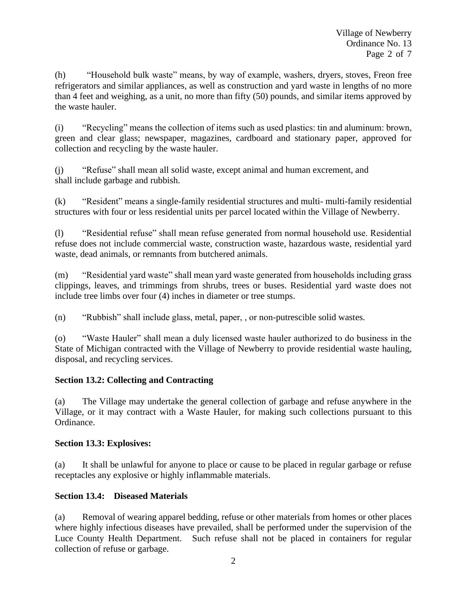(h) "Household bulk waste" means, by way of example, washers, dryers, stoves, Freon free refrigerators and similar appliances, as well as construction and yard waste in lengths of no more than 4 feet and weighing, as a unit, no more than fifty (50) pounds, and similar items approved by the waste hauler.

(i) "Recycling" means the collection of items such as used plastics: tin and aluminum: brown, green and clear glass; newspaper, magazines, cardboard and stationary paper, approved for collection and recycling by the waste hauler.

(j) "Refuse" shall mean all solid waste, except animal and human excrement, and shall include garbage and rubbish.

(k) "Resident" means a single-family residential structures and multi- multi-family residential structures with four or less residential units per parcel located within the Village of Newberry.

(l) "Residential refuse" shall mean refuse generated from normal household use. Residential refuse does not include commercial waste, construction waste, hazardous waste, residential yard waste, dead animals, or remnants from butchered animals.

(m) "Residential yard waste" shall mean yard waste generated from households including grass clippings, leaves, and trimmings from shrubs, trees or buses. Residential yard waste does not include tree limbs over four (4) inches in diameter or tree stumps.

(n) "Rubbish" shall include glass, metal, paper, , or non-putrescible solid wastes.

(o) "Waste Hauler" shall mean a duly licensed waste hauler authorized to do business in the State of Michigan contracted with the Village of Newberry to provide residential waste hauling, disposal, and recycling services.

# **Section 13.2: Collecting and Contracting**

(a) The Village may undertake the general collection of garbage and refuse anywhere in the Village, or it may contract with a Waste Hauler, for making such collections pursuant to this Ordinance.

## **Section 13.3: Explosives:**

(a) It shall be unlawful for anyone to place or cause to be placed in regular garbage or refuse receptacles any explosive or highly inflammable materials.

# **Section 13.4: Diseased Materials**

(a) Removal of wearing apparel bedding, refuse or other materials from homes or other places where highly infectious diseases have prevailed, shall be performed under the supervision of the Luce County Health Department. Such refuse shall not be placed in containers for regular collection of refuse or garbage.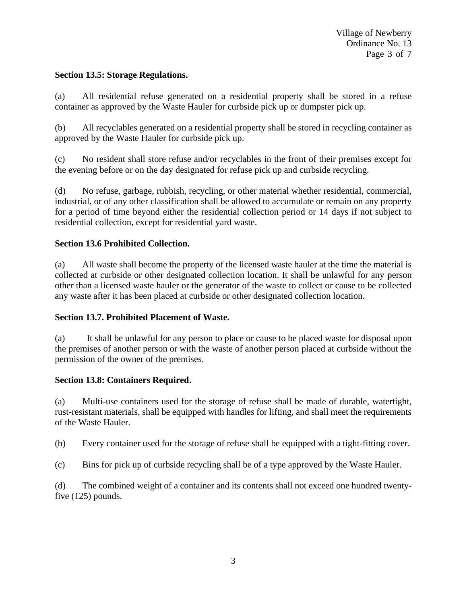## **Section 13.5: Storage Regulations.**

(a) All residential refuse generated on a residential property shall be stored in a refuse container as approved by the Waste Hauler for curbside pick up or dumpster pick up.

(b) All recyclables generated on a residential property shall be stored in recycling container as approved by the Waste Hauler for curbside pick up.

(c) No resident shall store refuse and/or recyclables in the front of their premises except for the evening before or on the day designated for refuse pick up and curbside recycling.

(d) No refuse, garbage, rubbish, recycling, or other material whether residential, commercial, industrial, or of any other classification shall be allowed to accumulate or remain on any property for a period of time beyond either the residential collection period or 14 days if not subject to residential collection, except for residential yard waste.

## **Section 13.6 Prohibited Collection.**

(a) All waste shall become the property of the licensed waste hauler at the time the material is collected at curbside or other designated collection location. It shall be unlawful for any person other than a licensed waste hauler or the generator of the waste to collect or cause to be collected any waste after it has been placed at curbside or other designated collection location.

#### **Section 13.7. Prohibited Placement of Waste.**

(a) It shall be unlawful for any person to place or cause to be placed waste for disposal upon the premises of another person or with the waste of another person placed at curbside without the permission of the owner of the premises.

#### **Section 13.8: Containers Required.**

(a) Multi-use containers used for the storage of refuse shall be made of durable, watertight, rust-resistant materials, shall be equipped with handles for lifting, and shall meet the requirements of the Waste Hauler.

(b) Every container used for the storage of refuse shall be equipped with a tight-fitting cover.

(c) Bins for pick up of curbside recycling shall be of a type approved by the Waste Hauler.

(d) The combined weight of a container and its contents shall not exceed one hundred twentyfive (125) pounds.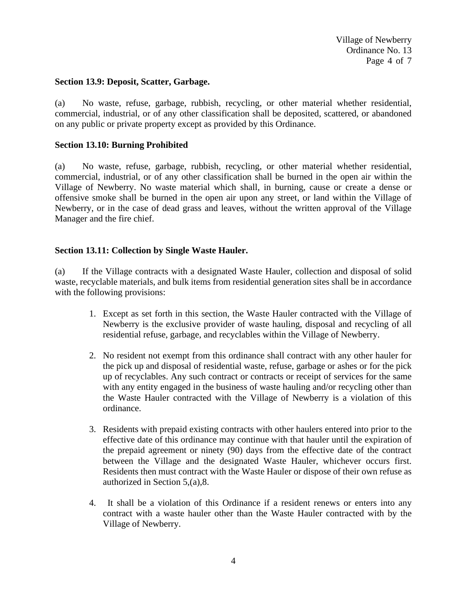Village of Newberry Ordinance No. 13 Page 4 of 7

#### **Section 13.9: Deposit, Scatter, Garbage.**

(a) No waste, refuse, garbage, rubbish, recycling, or other material whether residential, commercial, industrial, or of any other classification shall be deposited, scattered, or abandoned on any public or private property except as provided by this Ordinance.

#### **Section 13.10: Burning Prohibited**

(a) No waste, refuse, garbage, rubbish, recycling, or other material whether residential, commercial, industrial, or of any other classification shall be burned in the open air within the Village of Newberry. No waste material which shall, in burning, cause or create a dense or offensive smoke shall be burned in the open air upon any street, or land within the Village of Newberry, or in the case of dead grass and leaves, without the written approval of the Village Manager and the fire chief.

#### **Section 13.11: Collection by Single Waste Hauler.**

(a) If the Village contracts with a designated Waste Hauler, collection and disposal of solid waste, recyclable materials, and bulk items from residential generation sites shall be in accordance with the following provisions:

- 1. Except as set forth in this section, the Waste Hauler contracted with the Village of Newberry is the exclusive provider of waste hauling, disposal and recycling of all residential refuse, garbage, and recyclables within the Village of Newberry.
- 2. No resident not exempt from this ordinance shall contract with any other hauler for the pick up and disposal of residential waste, refuse, garbage or ashes or for the pick up of recyclables. Any such contract or contracts or receipt of services for the same with any entity engaged in the business of waste hauling and/or recycling other than the Waste Hauler contracted with the Village of Newberry is a violation of this ordinance.
- 3. Residents with prepaid existing contracts with other haulers entered into prior to the effective date of this ordinance may continue with that hauler until the expiration of the prepaid agreement or ninety (90) days from the effective date of the contract between the Village and the designated Waste Hauler, whichever occurs first. Residents then must contract with the Waste Hauler or dispose of their own refuse as authorized in Section 5,(a),8.
- 4. It shall be a violation of this Ordinance if a resident renews or enters into any contract with a waste hauler other than the Waste Hauler contracted with by the Village of Newberry.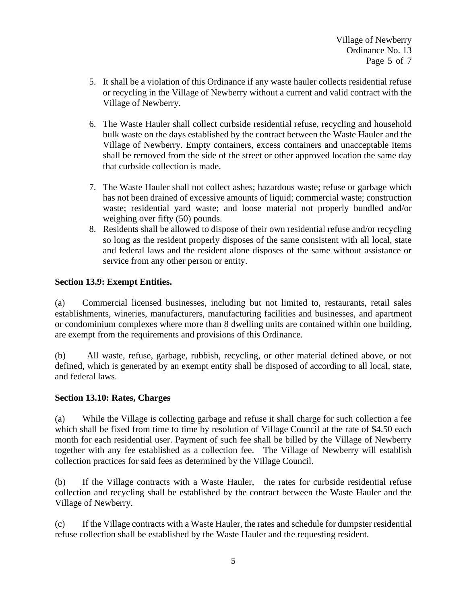- 5. It shall be a violation of this Ordinance if any waste hauler collects residential refuse or recycling in the Village of Newberry without a current and valid contract with the Village of Newberry.
- 6. The Waste Hauler shall collect curbside residential refuse, recycling and household bulk waste on the days established by the contract between the Waste Hauler and the Village of Newberry. Empty containers, excess containers and unacceptable items shall be removed from the side of the street or other approved location the same day that curbside collection is made.
- 7. The Waste Hauler shall not collect ashes; hazardous waste; refuse or garbage which has not been drained of excessive amounts of liquid; commercial waste; construction waste; residential yard waste; and loose material not properly bundled and/or weighing over fifty (50) pounds.
- 8. Residents shall be allowed to dispose of their own residential refuse and/or recycling so long as the resident properly disposes of the same consistent with all local, state and federal laws and the resident alone disposes of the same without assistance or service from any other person or entity.

## **Section 13.9: Exempt Entities.**

(a) Commercial licensed businesses, including but not limited to, restaurants, retail sales establishments, wineries, manufacturers, manufacturing facilities and businesses, and apartment or condominium complexes where more than 8 dwelling units are contained within one building, are exempt from the requirements and provisions of this Ordinance.

(b) All waste, refuse, garbage, rubbish, recycling, or other material defined above, or not defined, which is generated by an exempt entity shall be disposed of according to all local, state, and federal laws.

#### **Section 13.10: Rates, Charges**

(a) While the Village is collecting garbage and refuse it shall charge for such collection a fee which shall be fixed from time to time by resolution of Village Council at the rate of \$4.50 each month for each residential user. Payment of such fee shall be billed by the Village of Newberry together with any fee established as a collection fee. The Village of Newberry will establish collection practices for said fees as determined by the Village Council.

(b) If the Village contracts with a Waste Hauler, the rates for curbside residential refuse collection and recycling shall be established by the contract between the Waste Hauler and the Village of Newberry.

(c) If the Village contracts with a Waste Hauler, the rates and schedule for dumpster residential refuse collection shall be established by the Waste Hauler and the requesting resident.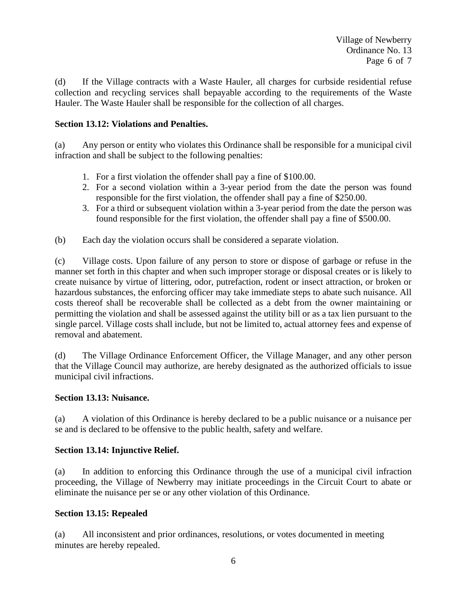(d) If the Village contracts with a Waste Hauler, all charges for curbside residential refuse collection and recycling services shall bepayable according to the requirements of the Waste Hauler. The Waste Hauler shall be responsible for the collection of all charges.

## **Section 13.12: Violations and Penalties.**

(a) Any person or entity who violates this Ordinance shall be responsible for a municipal civil infraction and shall be subject to the following penalties:

- 1. For a first violation the offender shall pay a fine of \$100.00.
- 2. For a second violation within a 3-year period from the date the person was found responsible for the first violation, the offender shall pay a fine of \$250.00.
- 3. For a third or subsequent violation within a 3-year period from the date the person was found responsible for the first violation, the offender shall pay a fine of \$500.00.
- (b) Each day the violation occurs shall be considered a separate violation.

(c) Village costs. Upon failure of any person to store or dispose of garbage or refuse in the manner set forth in this chapter and when such improper storage or disposal creates or is likely to create nuisance by virtue of littering, odor, putrefaction, rodent or insect attraction, or broken or hazardous substances, the enforcing officer may take immediate steps to abate such nuisance. All costs thereof shall be recoverable shall be collected as a debt from the owner maintaining or permitting the violation and shall be assessed against the utility bill or as a tax lien pursuant to the single parcel. Village costs shall include, but not be limited to, actual attorney fees and expense of removal and abatement.

(d) The Village Ordinance Enforcement Officer, the Village Manager, and any other person that the Village Council may authorize, are hereby designated as the authorized officials to issue municipal civil infractions.

#### **Section 13.13: Nuisance.**

(a) A violation of this Ordinance is hereby declared to be a public nuisance or a nuisance per se and is declared to be offensive to the public health, safety and welfare.

#### **Section 13.14: Injunctive Relief.**

(a) In addition to enforcing this Ordinance through the use of a municipal civil infraction proceeding, the Village of Newberry may initiate proceedings in the Circuit Court to abate or eliminate the nuisance per se or any other violation of this Ordinance.

#### **Section 13.15: Repealed**

(a) All inconsistent and prior ordinances, resolutions, or votes documented in meeting minutes are hereby repealed.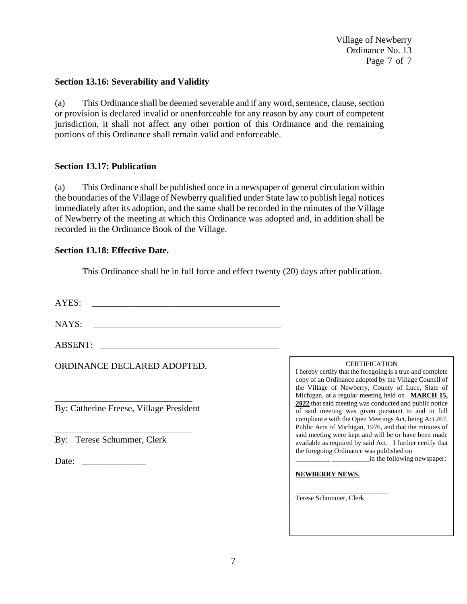Village of Newberry Ordinance No. 13 Page 7 of 7

#### **Section 13.16: Severability and Validity**

(a) This Ordinance shall be deemed severable and if any word, sentence, clause, section or provision is declared invalid or unenforceable for any reason by any court of competent jurisdiction, it shall not affect any other portion of this Ordinance and the remaining portions of this Ordinance shall remain valid and enforceable.

#### **Section 13.17: Publication**

(a) This Ordinance shall be published once in a newspaper of general circulation within the boundaries of the Village of Newberry qualified under State law to publish legal notices immediately after its adoption, and the same shall be recorded in the minutes of the Village of Newberry of the meeting at which this Ordinance was adopted and, in addition shall be recorded in the Ordinance Book of the Village.

#### **Section 13.18: Effective Date.**

This Ordinance shall be in full force and effect twenty (20) days after publication.

AYES:

NAYS:

ABSENT:

ORDINANCE DECLARED ADOPTED.

\_\_\_\_\_\_\_\_\_\_\_\_\_\_\_\_\_\_\_\_\_\_\_\_\_\_\_\_\_\_ By: Catherine Freese, Village President

\_\_\_\_\_\_\_\_\_\_\_\_\_\_\_\_\_\_\_\_\_\_\_\_\_\_\_\_\_\_

By: Terese Schummer, Clerk

Date: \_\_\_\_\_\_\_\_\_\_\_\_\_\_

**CERTIFICATION** 

I hereby certify that the foregoing is a true and complete copy of an Ordinance adopted by the Village Council of the Village of Newberry, County of Luce, State of Michigan, at a regular meeting held on **MARCH 15, 2022** that said meeting was conducted and public notice of said meeting was given pursuant to and in full compliance with the Open Meetings Act, being Act 267, Public Acts of Michigan, 1976, and that the minutes of said meeting were kept and will be or have been made available as required by said Act. I further certify that the foregoing Ordinance was published on

\_\_\_\_\_\_\_\_\_\_ \_\_\_\_\_\_\_\_\_\_\_in the following newspaper:

#### **NEWBERRY NEWS.**

Terese Schummer, Clerk

\_\_\_\_\_\_\_\_\_\_\_\_\_\_\_\_\_\_\_\_\_\_\_\_\_\_\_